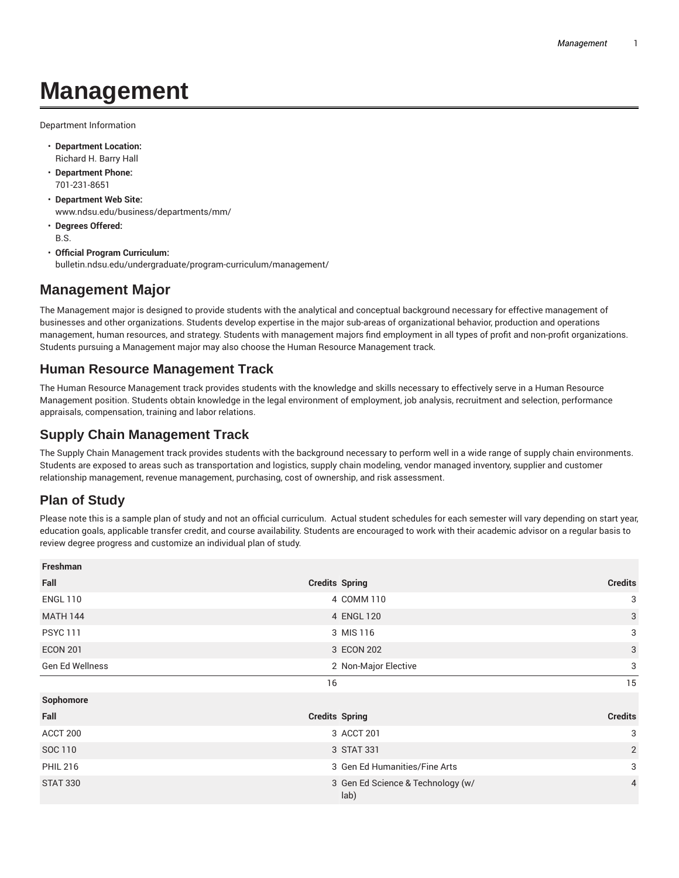# **Management**

Department Information

- **Department Location:** Richard H. Barry Hall
- **Department Phone:** 701-231-8651
- **Department Web Site:** www.ndsu.edu/business/departments/mm/
- **Degrees Offered:** B.S.
- **Official Program Curriculum:** bulletin.ndsu.edu/undergraduate/program-curriculum/management/

# **Management Major**

The Management major is designed to provide students with the analytical and conceptual background necessary for effective management of businesses and other organizations. Students develop expertise in the major sub-areas of organizational behavior, production and operations management, human resources, and strategy. Students with management majors find employment in all types of profit and non-profit organizations. Students pursuing a Management major may also choose the Human Resource Management track.

### **Human Resource Management Track**

The Human Resource Management track provides students with the knowledge and skills necessary to effectively serve in a Human Resource Management position. Students obtain knowledge in the legal environment of employment, job analysis, recruitment and selection, performance appraisals, compensation, training and labor relations.

# **Supply Chain Management Track**

The Supply Chain Management track provides students with the background necessary to perform well in a wide range of supply chain environments. Students are exposed to areas such as transportation and logistics, supply chain modeling, vendor managed inventory, supplier and customer relationship management, revenue management, purchasing, cost of ownership, and risk assessment.

## **Plan of Study**

Please note this is a sample plan of study and not an official curriculum. Actual student schedules for each semester will vary depending on start year, education goals, applicable transfer credit, and course availability. Students are encouraged to work with their academic advisor on a regular basis to review degree progress and customize an individual plan of study.

| Freshman        |                                           |                |
|-----------------|-------------------------------------------|----------------|
| Fall            | <b>Credits Spring</b>                     | <b>Credits</b> |
| <b>ENGL 110</b> | 4 COMM 110                                | 3              |
| <b>MATH 144</b> | 4 ENGL 120                                | 3              |
| <b>PSYC 111</b> | 3 MIS 116                                 | 3              |
| <b>ECON 201</b> | 3 ECON 202                                | 3              |
| Gen Ed Wellness | 2 Non-Major Elective                      | 3              |
|                 | 16                                        | 15             |
| Sophomore       |                                           |                |
| Fall            | <b>Credits Spring</b>                     | <b>Credits</b> |
| ACCT 200        | 3 ACCT 201                                | 3              |
| SOC 110         | 3 STAT 331                                | $\overline{2}$ |
| <b>PHIL 216</b> | 3 Gen Ed Humanities/Fine Arts             | 3              |
| <b>STAT 330</b> | 3 Gen Ed Science & Technology (w/<br>lab) | $\overline{4}$ |